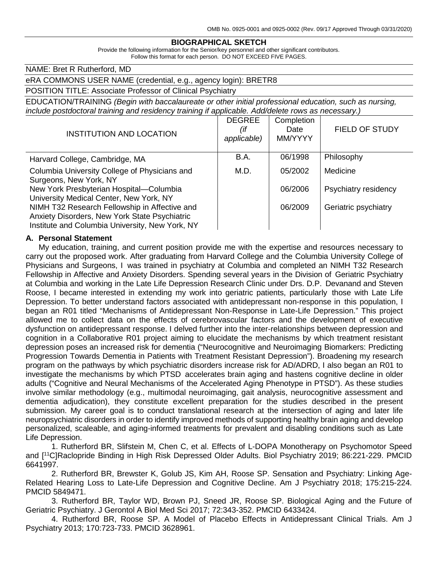#### **BIOGRAPHICAL SKETCH**

Provide the following information for the Senior/key personnel and other significant contributors. Follow this format for each person. DO NOT EXCEED FIVE PAGES.

NAME: Bret R Rutherford, MD

eRA COMMONS USER NAME (credential, e.g., agency login): BRETR8

POSITION TITLE: Associate Professor of Clinical Psychiatry

EDUCATION/TRAINING *(Begin with baccalaureate or other initial professional education, such as nursing, include postdoctoral training and residency training if applicable. Add/delete rows as necessary.)*

| <b>INSTITUTION AND LOCATION</b>                                                                                                                   | <b>DEGREE</b><br>(if<br>applicable) | Completion<br>Date<br>MM/YYYY | <b>FIELD OF STUDY</b> |
|---------------------------------------------------------------------------------------------------------------------------------------------------|-------------------------------------|-------------------------------|-----------------------|
| Harvard College, Cambridge, MA                                                                                                                    | B.A.                                | 06/1998                       | Philosophy            |
| Columbia University College of Physicians and<br>Surgeons, New York, NY                                                                           | M.D.                                | 05/2002                       | Medicine              |
| New York Presbyterian Hospital-Columbia<br>University Medical Center, New York, NY                                                                |                                     | 06/2006                       | Psychiatry residency  |
| NIMH T32 Research Fellowship in Affective and<br>Anxiety Disorders, New York State Psychiatric<br>Institute and Columbia University, New York, NY |                                     | 06/2009                       | Geriatric psychiatry  |

#### **A. Personal Statement**

My education, training, and current position provide me with the expertise and resources necessary to carry out the proposed work. After graduating from Harvard College and the Columbia University College of Physicians and Surgeons, I was trained in psychiatry at Columbia and completed an NIMH T32 Research Fellowship in Affective and Anxiety Disorders. Spending several years in the Division of Geriatric Psychiatry at Columbia and working in the Late Life Depression Research Clinic under Drs. D.P. Devanand and Steven Roose, I became interested in extending my work into geriatric patients, particularly those with Late Life Depression. To better understand factors associated with antidepressant non-response in this population, I began an R01 titled "Mechanisms of Antidepressant Non-Response in Late-Life Depression." This project allowed me to collect data on the effects of cerebrovascular factors and the development of executive dysfunction on antidepressant response. I delved further into the inter-relationships between depression and cognition in a Collaborative R01 project aiming to elucidate the mechanisms by which treatment resistant depression poses an increased risk for dementia ("Neurocognitive and Neuroimaging Biomarkers: Predicting Progression Towards Dementia in Patients with Treatment Resistant Depression"). Broadening my research program on the pathways by which psychiatric disorders increase risk for AD/ADRD, I also began an R01 to investigate the mechanisms by which PTSD accelerates brain aging and hastens cognitive decline in older adults ("Cognitive and Neural Mechanisms of the Accelerated Aging Phenotype in PTSD"). As these studies involve similar methodology (e.g., multimodal neuroimaging, gait analysis, neurocognitive assessment and dementia adjudication), they constitute excellent preparation for the studies described in the present submission. My career goal is to conduct translational research at the intersection of aging and later life neuropsychiatric disorders in order to identify improved methods of supporting healthy brain aging and develop personalized, scaleable, and aging-informed treatments for prevalent and disabling conditions such as Late Life Depression.

1. Rutherford BR, Slifstein M, Chen C, et al. Effects of L-DOPA Monotherapy on Psychomotor Speed and [11C]Raclopride Binding in High Risk Depressed Older Adults. Biol Psychiatry 2019; 86:221-229. PMCID 6641997.

2. Rutherford BR, Brewster K, Golub JS, Kim AH, Roose SP. Sensation and Psychiatry: Linking Age-Related Hearing Loss to Late-Life Depression and Cognitive Decline. Am J Psychiatry 2018; 175:215-224. PMCID 5849471.

3. Rutherford BR, Taylor WD, Brown PJ, Sneed JR, Roose SP. Biological Aging and the Future of Geriatric Psychiatry. J Gerontol A Biol Med Sci 2017; 72:343-352. PMCID 6433424.

4. Rutherford BR, Roose SP. A Model of Placebo Effects in Antidepressant Clinical Trials. Am J Psychiatry 2013; 170:723-733. PMCID 3628961.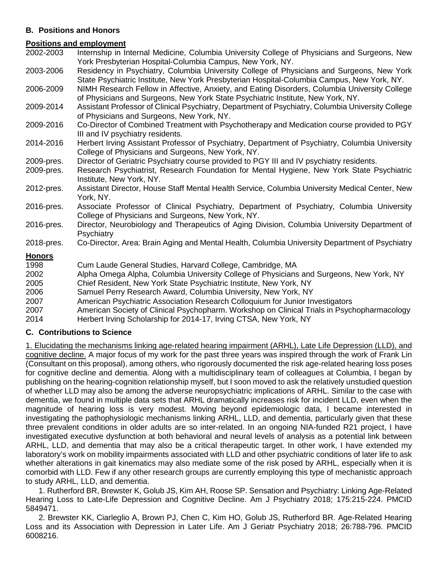# **B. Positions and Honors**

#### **Positions and employment**

- 2002-2003 Internship in Internal Medicine, Columbia University College of Physicians and Surgeons, New York Presbyterian Hospital-Columbia Campus, New York, NY.
- 2003-2006 Residency in Psychiatry, Columbia University College of Physicians and Surgeons, New York State Psychiatric Institute, New York Presbyterian Hospital-Columbia Campus, New York, NY.

2006-2009 NIMH Research Fellow in Affective, Anxiety, and Eating Disorders, Columbia University College of Physicians and Surgeons, New York State Psychiatric Institute, New York, NY.

- 2009-2014 Assistant Professor of Clinical Psychiatry, Department of Psychiatry, Columbia University College of Physicians and Surgeons, New York, NY.
- 2009-2016 Co-Director of Combined Treatment with Psychotherapy and Medication course provided to PGY III and IV psychiatry residents.
- 2014-2016 Herbert Irving Assistant Professor of Psychiatry, Department of Psychiatry, Columbia University College of Physicians and Surgeons, New York, NY.
- 2009-pres. Director of Geriatric Psychiatry course provided to PGY III and IV psychiatry residents.
- 2009-pres. Research Psychiatrist, Research Foundation for Mental Hygiene, New York State Psychiatric Institute, New York, NY.
- 2012-pres. Assistant Director, House Staff Mental Health Service, Columbia University Medical Center, New York, NY.
- 2016-pres. Associate Professor of Clinical Psychiatry, Department of Psychiatry, Columbia University College of Physicians and Surgeons, New York, NY.
- 2016-pres. Director, Neurobiology and Therapeutics of Aging Division, Columbia University Department of **Psychiatry**
- 2018-pres. Co-Director, Area: Brain Aging and Mental Health, Columbia University Department of Psychiatry

## **Honors**

| 1998 | Cum Laude General Studies, Harvard College, Cambridge, MA                                   |
|------|---------------------------------------------------------------------------------------------|
| 2002 | Alpha Omega Alpha, Columbia University College of Physicians and Surgeons, New York, NY     |
| 2005 | Chief Resident, New York State Psychiatric Institute, New York, NY                          |
| 2006 | Samuel Perry Research Award, Columbia University, New York, NY                              |
| 2007 | American Psychiatric Association Research Colloquium for Junior Investigators               |
| 2007 | American Society of Clinical Psychopharm. Workshop on Clinical Trials in Psychopharmacology |
| 2014 | Herbert Irving Scholarship for 2014-17, Irving CTSA, New York, NY                           |
|      |                                                                                             |

## **C. Contributions to Science**

1. Elucidating the mechanisms linking age-related hearing impairment (ARHL), Late Life Depression (LLD), and cognitive decline. A major focus of my work for the past three years was inspired through the work of Frank Lin (Consultant on this proposal), among others, who rigorously documented the risk age-related hearing loss poses for cognitive decline and dementia. Along with a multidisciplinary team of colleagues at Columbia, I began by publishing on the hearing-cognition relationship myself, but I soon moved to ask the relatively unstudied question of whether LLD may also be among the adverse neuropsychiatric implications of ARHL. Similar to the case with dementia, we found in multiple data sets that ARHL dramatically increases risk for incident LLD, even when the magnitude of hearing loss is very modest. Moving beyond epidemiologic data, I became interested in investigating the pathophysiologic mechanisms linking ARHL, LLD, and dementia, particularly given that these three prevalent conditions in older adults are so inter-related. In an ongoing NIA-funded R21 project, I have investigated executive dysfunction at both behavioral and neural levels of analysis as a potential link between ARHL, LLD, and dementia that may also be a critical therapeutic target. In other work, I have extended my laboratory's work on mobility impairments associated with LLD and other psychiatric conditions of later life to ask whether alterations in gait kinematics may also mediate some of the risk posed by ARHL, especially when it is comorbid with LLD. Few if any other research groups are currently employing this type of mechanistic approach to study ARHL, LLD, and dementia.

1. Rutherford BR, Brewster K, Golub JS, Kim AH, Roose SP. Sensation and Psychiatry: Linking Age-Related Hearing Loss to Late-Life Depression and Cognitive Decline. Am J Psychiatry 2018; 175:215-224. PMCID 5849471.

2. Brewster KK, Ciarleglio A, Brown PJ, Chen C, Kim HO, Golub JS, Rutherford BR. Age-Related Hearing Loss and its Association with Depression in Later Life. Am J Geriatr Psychiatry 2018; 26:788-796. PMCID 6008216.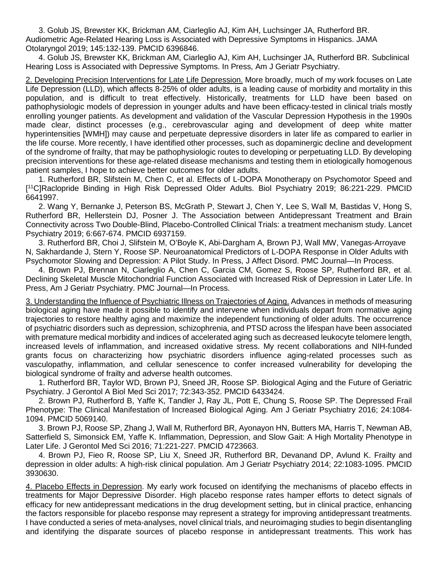3. Golub JS, Brewster KK, Brickman AM, Ciarleglio AJ, Kim AH, Luchsinger JA, Rutherford BR. Audiometric Age-Related Hearing Loss is Associated with Depressive Symptoms in Hispanics. JAMA Otolaryngol 2019; 145:132-139. PMCID 6396846.

4. Golub JS, Brewster KK, Brickman AM, Ciarleglio AJ, Kim AH, Luchsinger JA, Rutherford BR. Subclinical Hearing Loss is Associated with Depressive Symptoms. In Press, Am J Geriatr Psychiatry.

2. Developing Precision Interventions for Late Life Depression. More broadly, much of my work focuses on Late Life Depression (LLD), which affects 8-25% of older adults, is a leading cause of morbidity and mortality in this population, and is difficult to treat effectively. Historically, treatments for LLD have been based on pathophysiologic models of depression in younger adults and have been efficacy-tested in clinical trials mostly enrolling younger patients. As development and validation of the Vascular Depression Hypothesis in the 1990s made clear, distinct processes (e.g., cerebrovascular aging and development of deep white matter hyperintensities [WMH]) may cause and perpetuate depressive disorders in later life as compared to earlier in the life course. More recently, I have identified other processes, such as dopaminergic decline and development of the syndrome of frailty, that may be pathophysiologic routes to developing or perpetuating LLD. By developing precision interventions for these age-related disease mechanisms and testing them in etiologically homogenous patient samples, I hope to achieve better outcomes for older adults.

1. Rutherford BR, Slifstein M, Chen C, et al. Effects of L-DOPA Monotherapy on Psychomotor Speed and [ 11C]Raclopride Binding in High Risk Depressed Older Adults. Biol Psychiatry 2019; 86:221-229. PMCID 6641997.

2. Wang Y, Bernanke J, Peterson BS, McGrath P, Stewart J, Chen Y, Lee S, Wall M, Bastidas V, Hong S, Rutherford BR, Hellerstein DJ, Posner J. The Association between Antidepressant Treatment and Brain Connectivity across Two Double-Blind, Placebo-Controlled Clinical Trials: a treatment mechanism study. Lancet Psychiatry 2019; 6:667-674. PMCID 6937159.

3. Rutherford BR, Choi J, Slifstein M, O'Boyle K, Abi-Dargham A, Brown PJ, Wall MW, Vanegas-Arroyave N, Sakhardande J, Stern Y, Roose SP. Neuroanatomical Predictors of L-DOPA Response in Older Adults with Psychomotor Slowing and Depression: A Pilot Study. In Press, J Affect Disord. PMC Journal—In Process.

4. Brown PJ, Brennan N, Ciarleglio A, Chen C, Garcia CM, Gomez S, Roose SP, Rutherford BR, et al. Declining Skeletal Muscle Mitochondrial Function Associated with Increased Risk of Depression in Later Life. In Press, Am J Geriatr Psychiatry. PMC Journal—In Process.

3. Understanding the Influence of Psychiatric Illness on Trajectories of Aging. Advances in methods of measuring biological aging have made it possible to identify and intervene when individuals depart from normative aging trajectories to restore healthy aging and maximize the independent functioning of older adults. The occurrence of psychiatric disorders such as depression, schizophrenia, and PTSD across the lifespan have been associated with premature medical morbidity and indices of accelerated aging such as decreased leukocyte telomere length, increased levels of inflammation, and increased oxidative stress. My recent collaborations and NIH-funded grants focus on characterizing how psychiatric disorders influence aging-related processes such as vasculopathy, inflammation, and cellular senescence to confer increased vulnerability for developing the biological syndrome of frailty and adverse health outcomes.

1. Rutherford BR, Taylor WD, Brown PJ, Sneed JR, Roose SP. Biological Aging and the Future of Geriatric Psychiatry. J Gerontol A Biol Med Sci 2017; 72:343-352. PMCID 6433424.

2. Brown PJ, Rutherford B, Yaffe K, Tandler J, Ray JL, Pott E, Chung S, Roose SP. The Depressed Frail Phenotype: The Clinical Manifestation of Increased Biological Aging. Am J Geriatr Psychiatry 2016; 24:1084- 1094. PMCID 5069140.

3. Brown PJ, Roose SP, Zhang J, Wall M, Rutherford BR, Ayonayon HN, Butters MA, Harris T, Newman AB, Satterfield S, Simonsick EM, Yaffe K. Inflammation, Depression, and Slow Gait: A High Mortality Phenotype in Later Life. J Gerontol Med Sci 2016; 71:221-227. PMCID 4723663.

4. Brown PJ, Fieo R, Roose SP, Liu X, Sneed JR, Rutherford BR, Devanand DP, Avlund K. Frailty and depression in older adults: A high-risk clinical population. Am J Geriatr Psychiatry 2014; 22:1083-1095. PMCID 3930630.

4. Placebo Effects in Depression. My early work focused on identifying the mechanisms of placebo effects in treatments for Major Depressive Disorder. High placebo response rates hamper efforts to detect signals of efficacy for new antidepressant medications in the drug development setting, but in clinical practice, enhancing the factors responsible for placebo response may represent a strategy for improving antidepressant treatments. I have conducted a series of meta-analyses, novel clinical trials, and neuroimaging studies to begin disentangling and identifying the disparate sources of placebo response in antidepressant treatments. This work has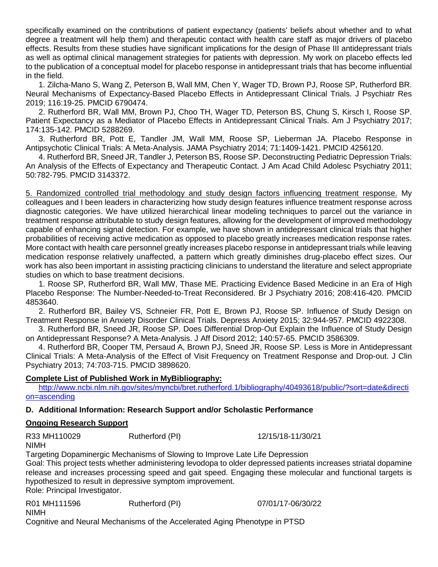specifically examined on the contributions of patient expectancy (patients' beliefs about whether and to what degree a treatment will help them) and therapeutic contact with health care staff as major drivers of placebo effects. Results from these studies have significant implications for the design of Phase III antidepressant trials as well as optimal clinical management strategies for patients with depression. My work on placebo effects led to the publication of a conceptual model for placebo response in antidepressant trials that has become influential in the field.

1. Zilcha-Mano S, Wang Z, Peterson B, Wall MM, Chen Y, Wager TD, Brown PJ, Roose SP, Rutherford BR. Neural Mechanisms of Expectancy-Based Placebo Effects in Antidepressant Clinical Trials. J Psychiatr Res 2019; 116:19-25. PMCID 6790474.

2. Rutherford BR, Wall MM, Brown PJ, Choo TH, Wager TD, Peterson BS, Chung S, Kirsch I, Roose SP. Patient Expectancy as a Mediator of Placebo Effects in Antidepressant Clinical Trials. Am J Psychiatry 2017; 174:135-142. PMCID 5288269.

3. Rutherford BR, Pott E, Tandler JM, Wall MM, Roose SP, Lieberman JA. Placebo Response in Antipsychotic Clinical Trials: A Meta-Analysis. JAMA Psychiatry 2014; 71:1409-1421. PMCID 4256120.

4. Rutherford BR, Sneed JR, Tandler J, Peterson BS, Roose SP. Deconstructing Pediatric Depression Trials: An Analysis of the Effects of Expectancy and Therapeutic Contact. J Am Acad Child Adolesc Psychiatry 2011; 50:782-795. PMCID 3143372.

5. Randomized controlled trial methodology and study design factors influencing treatment response. My colleagues and I been leaders in characterizing how study design features influence treatment response across diagnostic categories. We have utilized hierarchical linear modeling techniques to parcel out the variance in treatment response attributable to study design features, allowing for the development of improved methodology capable of enhancing signal detection. For example, we have shown in antidepressant clinical trials that higher probabilities of receiving active medication as opposed to placebo greatly increases medication response rates. More contact with health care personnel greatly increases placebo response in antidepressant trials while leaving medication response relatively unaffected, a pattern which greatly diminishes drug-placebo effect sizes. Our work has also been important in assisting practicing clinicians to understand the literature and select appropriate studies on which to base treatment decisions.

1. Roose SP, Rutherford BR, Wall MW, Thase ME. Practicing Evidence Based Medicine in an Era of High Placebo Response: The Number-Needed-to-Treat Reconsidered. Br J Psychiatry 2016; 208:416-420. PMCID 4853640.

2. Rutherford BR, Bailey VS, Schneier FR, Pott E, Brown PJ, Roose SP. Influence of Study Design on Treatment Response in Anxiety Disorder Clinical Trials. Depress Anxiety 2015; 32:944-957. PMCID 4922308.

3. Rutherford BR, Sneed JR, Roose SP. Does Differential Drop-Out Explain the Influence of Study Design on Antidepressant Response? A Meta-Analysis. J Aff Disord 2012; 140:57-65. PMCID 3586309.

4. Rutherford BR, Cooper TM, Persaud A, Brown PJ, Sneed JR, Roose SP. Less is More in Antidepressant Clinical Trials: A Meta-Analysis of the Effect of Visit Frequency on Treatment Response and Drop-out. J Clin Psychiatry 2013; 74:703-715. PMCID 3898620.

## **Complete List of Published Work in MyBibliography:**

[http://www.ncbi.nlm.nih.gov/sites/myncbi/bret.rutherford.1/bibliography/40493618/public/?sort=date&directi](http://www.ncbi.nlm.nih.gov/sites/myncbi/bret.rutherford.1/bibliography/40493618/public/?sort=date&direction=ascending) [on=ascending](http://www.ncbi.nlm.nih.gov/sites/myncbi/bret.rutherford.1/bibliography/40493618/public/?sort=date&direction=ascending)

## **D. Additional Information: Research Support and/or Scholastic Performance**

## **Ongoing Research Support**

R33 MH110029 Rutherford (PI) 12/15/18-11/30/21 NIMH

Targeting Dopaminergic Mechanisms of Slowing to Improve Late Life Depression

Goal: This project tests whether administering levodopa to older depressed patients increases striatal dopamine release and increases processing speed and gait speed. Engaging these molecular and functional targets is hypothesized to result in depressive symptom improvement.

Role: Principal Investigator.

R01 MH111596 Rutherford (PI) 07/01/17-06/30/22 NIMH

Cognitive and Neural Mechanisms of the Accelerated Aging Phenotype in PTSD